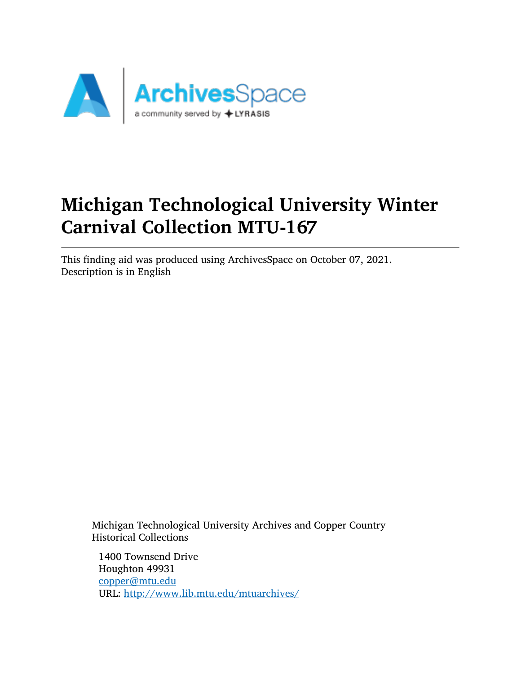

# Michigan Technological University Winter Carnival Collection MTU-167

This finding aid was produced using ArchivesSpace on October 07, 2021. Description is in English

Michigan Technological University Archives and Copper Country Historical Collections

1400 Townsend Drive Houghton 49931 [copper@mtu.edu](mailto:copper@mtu.edu) URL: <http://www.lib.mtu.edu/mtuarchives/>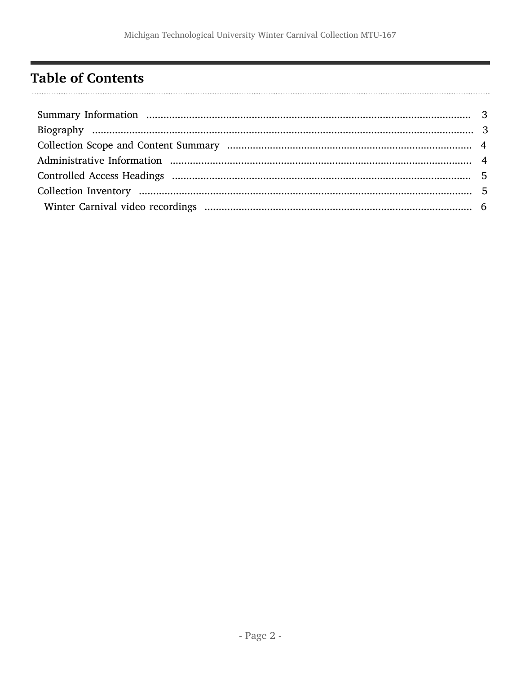## <span id="page-1-0"></span>**Table of Contents**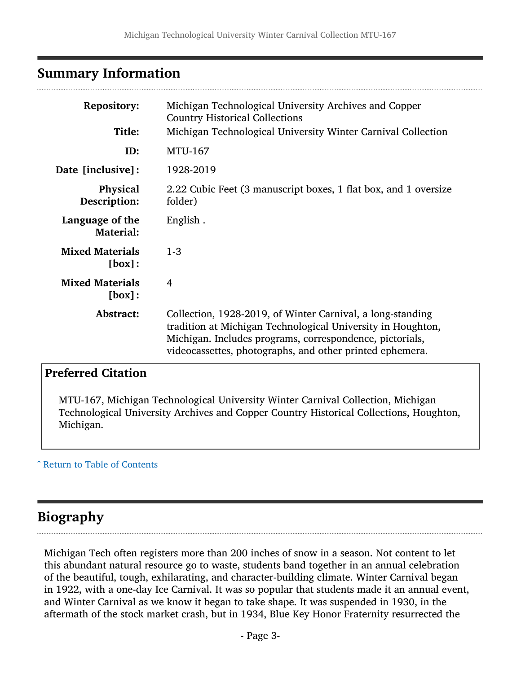## <span id="page-2-0"></span>Summary Information

| <b>Repository:</b><br>Title:        | Michigan Technological University Archives and Copper<br><b>Country Historical Collections</b>                                                                                                                                                    |
|-------------------------------------|---------------------------------------------------------------------------------------------------------------------------------------------------------------------------------------------------------------------------------------------------|
|                                     | Michigan Technological University Winter Carnival Collection                                                                                                                                                                                      |
| ID:                                 | <b>MTU-167</b>                                                                                                                                                                                                                                    |
| <b>Date [inclusive]:</b>            | 1928-2019                                                                                                                                                                                                                                         |
| Physical<br>Description:            | 2.22 Cubic Feet (3 manuscript boxes, 1 flat box, and 1 oversize<br>folder)                                                                                                                                                                        |
| Language of the<br><b>Material:</b> | English.                                                                                                                                                                                                                                          |
| <b>Mixed Materials</b><br>[box]:    | $1-3$                                                                                                                                                                                                                                             |
| <b>Mixed Materials</b><br>[box]:    | 4                                                                                                                                                                                                                                                 |
| Abstract:                           | Collection, 1928-2019, of Winter Carnival, a long-standing<br>tradition at Michigan Technological University in Houghton,<br>Michigan. Includes programs, correspondence, pictorials,<br>videocassettes, photographs, and other printed ephemera. |

#### Preferred Citation

MTU-167, Michigan Technological University Winter Carnival Collection, Michigan Technological University Archives and Copper Country Historical Collections, Houghton, Michigan.

#### ^ [Return to Table of Contents](#page-1-0)

#### <span id="page-2-1"></span>Biography

Michigan Tech often registers more than 200 inches of snow in a season. Not content to let this abundant natural resource go to waste, students band together in an annual celebration of the beautiful, tough, exhilarating, and character-building climate. Winter Carnival began in 1922, with a one-day Ice Carnival. It was so popular that students made it an annual event, and Winter Carnival as we know it began to take shape. It was suspended in 1930, in the aftermath of the stock market crash, but in 1934, Blue Key Honor Fraternity resurrected the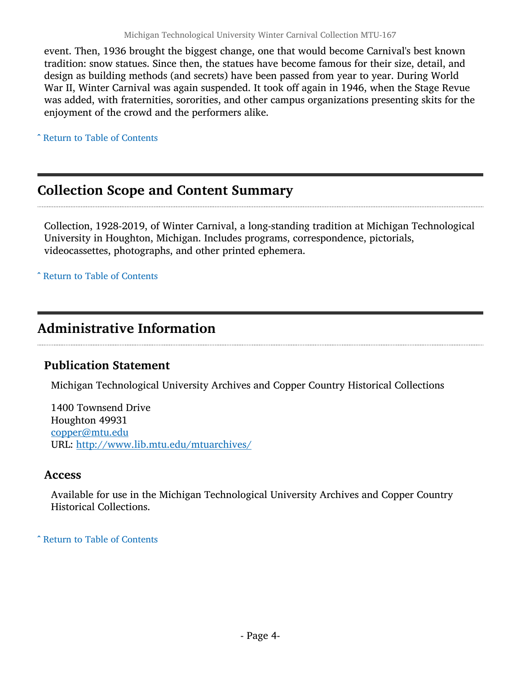event. Then, 1936 brought the biggest change, one that would become Carnival's best known tradition: snow statues. Since then, the statues have become famous for their size, detail, and design as building methods (and secrets) have been passed from year to year. During World War II, Winter Carnival was again suspended. It took off again in 1946, when the Stage Revue was added, with fraternities, sororities, and other campus organizations presenting skits for the enjoyment of the crowd and the performers alike.

^ [Return to Table of Contents](#page-1-0)

#### <span id="page-3-0"></span>Collection Scope and Content Summary

Collection, 1928-2019, of Winter Carnival, a long-standing tradition at Michigan Technological University in Houghton, Michigan. Includes programs, correspondence, pictorials, videocassettes, photographs, and other printed ephemera.

^ [Return to Table of Contents](#page-1-0)

#### <span id="page-3-1"></span>Administrative Information

#### Publication Statement

Michigan Technological University Archives and Copper Country Historical Collections

1400 Townsend Drive Houghton 49931 [copper@mtu.edu](mailto:copper@mtu.edu) URL: <http://www.lib.mtu.edu/mtuarchives/>

#### Access

Available for use in the Michigan Technological University Archives and Copper Country Historical Collections.

^ [Return to Table of Contents](#page-1-0)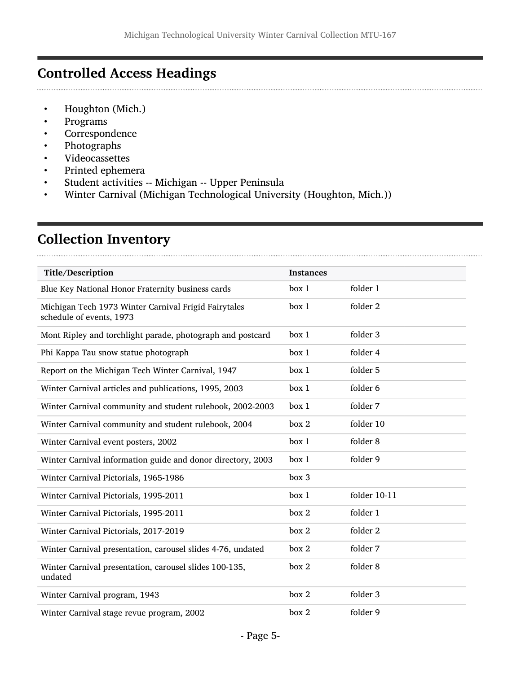## <span id="page-4-0"></span>Controlled Access Headings

- Houghton (Mich.)<br>• Programs
- Programs
- **Correspondence**
- Photographs
- Videocassettes
- Printed ephemera
- Student activities -- Michigan -- Upper Peninsula
- Winter Carnival (Michigan Technological University (Houghton, Mich.))

### <span id="page-4-1"></span>Collection Inventory

| Title/Description                                                                | <b>Instances</b> |              |
|----------------------------------------------------------------------------------|------------------|--------------|
| Blue Key National Honor Fraternity business cards                                | box 1            | folder 1     |
| Michigan Tech 1973 Winter Carnival Frigid Fairytales<br>schedule of events, 1973 | box 1            | folder 2     |
| Mont Ripley and torchlight parade, photograph and postcard                       | box 1            | folder 3     |
| Phi Kappa Tau snow statue photograph                                             | box 1            | folder 4     |
| Report on the Michigan Tech Winter Carnival, 1947                                | box 1            | folder 5     |
| Winter Carnival articles and publications, 1995, 2003                            | box 1            | folder 6     |
| Winter Carnival community and student rulebook, 2002-2003                        | box 1            | folder 7     |
| Winter Carnival community and student rulebook, 2004                             | box 2            | folder 10    |
| Winter Carnival event posters, 2002                                              | box 1            | folder 8     |
| Winter Carnival information guide and donor directory, 2003                      | box 1            | folder 9     |
| Winter Carnival Pictorials, 1965-1986                                            | box 3            |              |
| Winter Carnival Pictorials, 1995-2011                                            | box 1            | folder 10-11 |
| Winter Carnival Pictorials, 1995-2011                                            | box 2            | folder 1     |
| Winter Carnival Pictorials, 2017-2019                                            | box 2            | folder 2     |
| Winter Carnival presentation, carousel slides 4-76, undated                      | box 2            | folder 7     |
| Winter Carnival presentation, carousel slides 100-135,<br>undated                | box 2            | folder 8     |
| Winter Carnival program, 1943                                                    | box 2            | folder 3     |
| Winter Carnival stage revue program, 2002                                        | box 2            | folder 9     |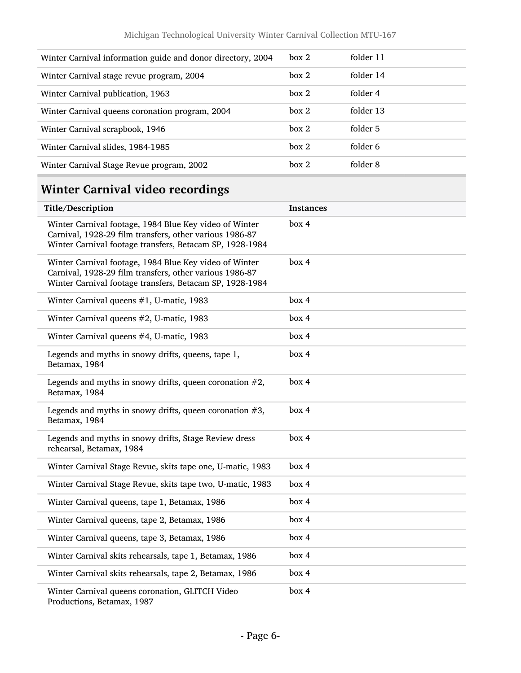| Winter Carnival information guide and donor directory, 2004 | box 2 | folder 11 |
|-------------------------------------------------------------|-------|-----------|
| Winter Carnival stage revue program, 2004                   | box 2 | folder 14 |
| Winter Carnival publication, 1963                           | box 2 | folder 4  |
| Winter Carnival queens coronation program, 2004             | box 2 | folder 13 |
| Winter Carnival scrapbook, 1946                             | box 2 | folder 5  |
| Winter Carnival slides, 1984-1985                           | box 2 | folder 6  |
| Winter Carnival Stage Revue program, 2002                   | box 2 | folder 8  |
|                                                             |       |           |

## <span id="page-5-0"></span>Winter Carnival video recordings

| Title/Description                                                                                                                                                             | <b>Instances</b> |
|-------------------------------------------------------------------------------------------------------------------------------------------------------------------------------|------------------|
| Winter Carnival footage, 1984 Blue Key video of Winter<br>Carnival, 1928-29 film transfers, other various 1986-87<br>Winter Carnival footage transfers, Betacam SP, 1928-1984 | box 4            |
| Winter Carnival footage, 1984 Blue Key video of Winter<br>Carnival, 1928-29 film transfers, other various 1986-87<br>Winter Carnival footage transfers, Betacam SP, 1928-1984 | box 4            |
| Winter Carnival queens #1, U-matic, 1983                                                                                                                                      | box 4            |
| Winter Carnival queens #2, U-matic, 1983                                                                                                                                      | box 4            |
| Winter Carnival queens #4, U-matic, 1983                                                                                                                                      | box 4            |
| Legends and myths in snowy drifts, queens, tape 1,<br>Betamax, 1984                                                                                                           | box 4            |
| Legends and myths in snowy drifts, queen coronation $#2$ ,<br>Betamax, 1984                                                                                                   | box 4            |
| Legends and myths in snowy drifts, queen coronation $#3$ ,<br>Betamax, 1984                                                                                                   | box 4            |
| Legends and myths in snowy drifts, Stage Review dress<br>rehearsal, Betamax, 1984                                                                                             | box 4            |
| Winter Carnival Stage Revue, skits tape one, U-matic, 1983                                                                                                                    | box 4            |
| Winter Carnival Stage Revue, skits tape two, U-matic, 1983                                                                                                                    | box 4            |
| Winter Carnival queens, tape 1, Betamax, 1986                                                                                                                                 | box 4            |
| Winter Carnival queens, tape 2, Betamax, 1986                                                                                                                                 | box 4            |
| Winter Carnival queens, tape 3, Betamax, 1986                                                                                                                                 | box 4            |
| Winter Carnival skits rehearsals, tape 1, Betamax, 1986                                                                                                                       | box 4            |
| Winter Carnival skits rehearsals, tape 2, Betamax, 1986                                                                                                                       | box 4            |
| Winter Carnival queens coronation, GLITCH Video<br>Productions, Betamax, 1987                                                                                                 | box 4            |